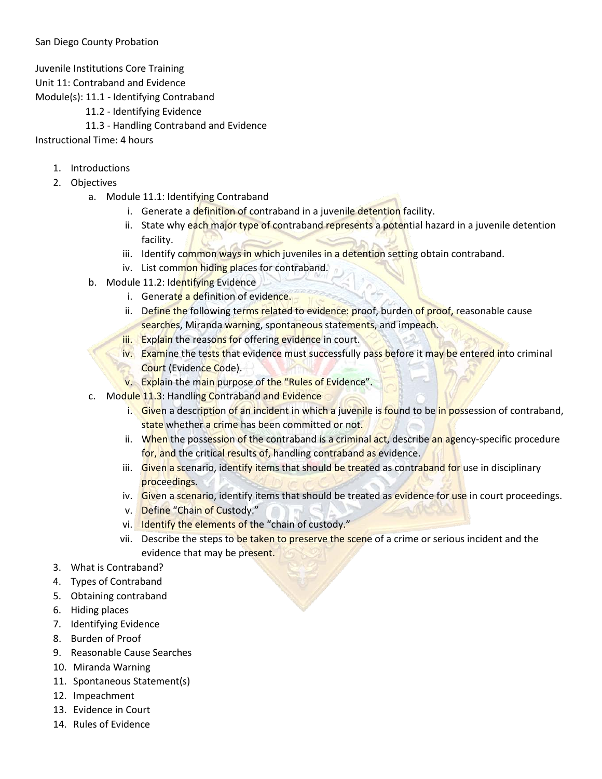Juvenile Institutions Core Training

Unit 11: Contraband and Evidence

Module(s): 11.1 - Identifying Contraband

- 11.2 Identifying Evidence
- 11.3 Handling Contraband and Evidence

Instructional Time: 4 hours

- 1. Introductions
- 2. Objectives
	- a. Module 11.1: Identifying Contraband
		- i. Generate a definition of contraband in a juvenile detention facility.
		- ii. State why each major type of contraband represents a potential hazard in a juvenile detention facility.
		- iii. Identify common ways in which juveniles in a detention setting obtain contraband.
		- iv. List common hiding places for contraband.
	- b. Module 11.2: Identifying Evidence
		- i. Generate a definition of evidence.
		- ii. Define the following terms related to evidence: proof, burden of proof, reasonable cause searches, Miranda warning, spontaneous statements, and impeach.
		- iii. Explain the reasons for offering evidence in court.
		- iv. Examine the tests that evidence must successfully pass before it may be entered into criminal Court (Evidence Code).
		- v. Explain the main purpose of the "Rules of Evidence".
	- c. Module 11.3: Handling Contraband and Evidence
		- i. Given a description of an incident in which a juvenile is found to be in possession of contraband, state whether a crime has been committed or not.
		- ii. When the possession of the contraband is a criminal act, describe an agency-specific procedure for, and the critical results of, handling contraband as evidence.
		- iii. Given a scenario, identify items that should be treated as contraband for use in disciplinary proceedings.
		- iv. Given a scenario, identify items that should be treated as evidence for use in court proceedings.
		- v. Define "Chain of Custody."
		- vi. Identify the elements of the "chain of custody."
		- vii. Describe the steps to be taken to preserve the scene of a crime or serious incident and the evidence that may be present.
- 3. What is Contraband?
- 4. Types of Contraband
- 5. Obtaining contraband
- 6. Hiding places
- 7. Identifying Evidence
- 8. Burden of Proof
- 9. Reasonable Cause Searches
- 10. Miranda Warning
- 11. Spontaneous Statement(s)
- 12. Impeachment
- 13. Evidence in Court
- 14. Rules of Evidence